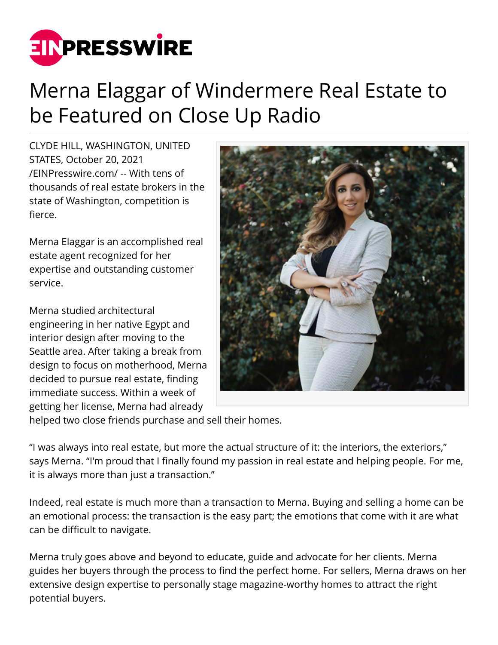

## Merna Elaggar of Windermere Real Estate to be Featured on Close Up Radio

CLYDE HILL, WASHINGTON, UNITED STATES, October 20, 2021 [/EINPresswire.com/](http://www.einpresswire.com) -- With tens of thousands of real estate brokers in the state of Washington, competition is fierce.

Merna Elaggar is an accomplished real estate agent recognized for her expertise and outstanding customer service.

Merna studied architectural engineering in her native Egypt and interior design after moving to the Seattle area. After taking a break from design to focus on motherhood, Merna decided to pursue real estate, finding immediate success. Within a week of getting her license, Merna had already



helped two close friends purchase and sell their homes.

"I was always into real estate, but more the actual structure of it: the interiors, the exteriors," says Merna. "I'm proud that I finally found my passion in real estate and helping people. For me, it is always more than just a transaction."

Indeed, real estate is much more than a transaction to Merna. Buying and selling a home can be an emotional process: the transaction is the easy part; the emotions that come with it are what can be difficult to navigate.

Merna truly goes above and beyond to educate, guide and advocate for her clients. Merna guides her buyers through the process to find the perfect home. For sellers, Merna draws on her extensive design expertise to personally stage magazine-worthy homes to attract the right potential buyers.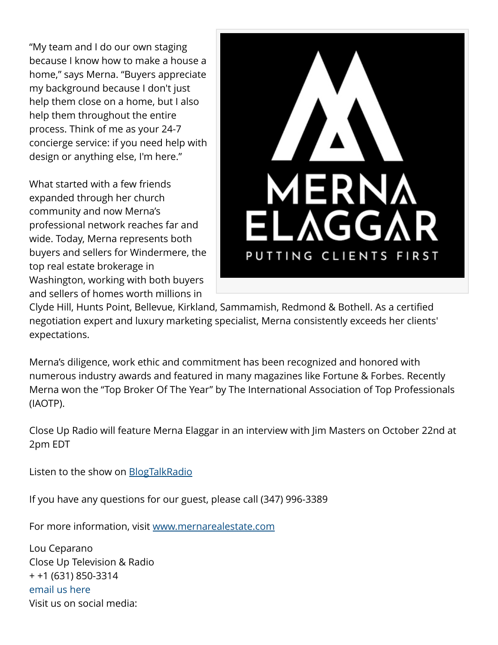"My team and I do our own staging because I know how to make a house a home," says Merna. "Buyers appreciate my background because I don't just help them close on a home, but I also help them throughout the entire process. Think of me as your 24-7 concierge service: if you need help with design or anything else, I'm here."

What started with a few friends expanded through her church community and now Merna's professional network reaches far and wide. Today, Merna represents both buyers and sellers for Windermere, the top real estate brokerage in Washington, working with both buyers and sellers of homes worth millions in



Clyde Hill, Hunts Point, Bellevue, Kirkland, Sammamish, Redmond & Bothell. As a certified negotiation expert and luxury marketing specialist, Merna consistently exceeds her clients' expectations.

Merna's diligence, work ethic and commitment has been recognized and honored with numerous industry awards and featured in many magazines like Fortune & Forbes. Recently Merna won the "Top Broker Of The Year" by The International Association of Top Professionals (IAOTP).

Close Up Radio will feature Merna Elaggar in an interview with Jim Masters on October 22nd at 2pm EDT

Listen to the show on [BlogTalkRadio](https://www.blogtalkradio.com/closeupradio/2021/10/22/close-up-radio-spotlights-merna-elaggar-of-windermere-real-estate)

If you have any questions for our guest, please call (347) 996-3389

For more information, visit [www.mernarealestate.com](http://www.mernarealestate.com)

Lou Ceparano Close Up Television & Radio + +1 (631) 850-3314 [email us here](http://www.einpresswire.com/contact_author/3181756) Visit us on social media: